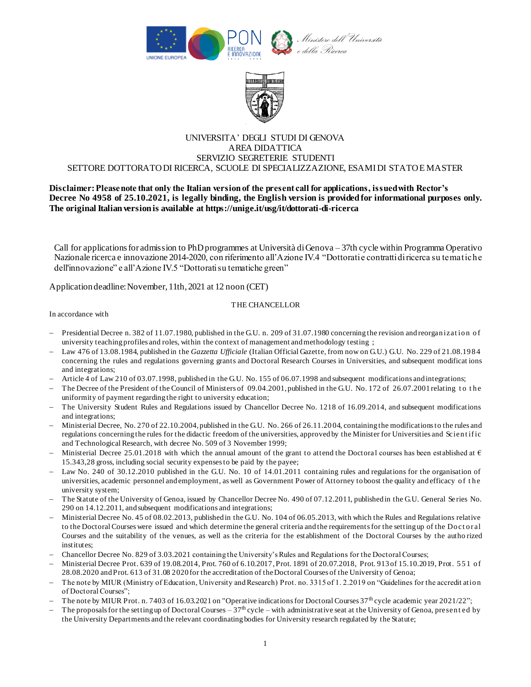



# UNIVERSITA' DEGLI STUDI DI GENOVA AREA DIDATTICA SERVIZIO SEGRETERIE STUDENTI SETTORE DOTTORATO DI RICERCA, SCUOLE DI SPECIALIZZAZIONE, ESAMI DI STATO E MASTER

**Disclaimer: Please note that only the Italian version of the present call for applications, issued with Rector's Decree No 4958 of 25.10.2021, is legally binding, the English version is provided for informational purposes only. The original Italian version is available at https://unige.it/usg/it/dottorati-di-ricerca**

Call for applications for admission to PhD programmes at Università di Genova – 37th cycle within Programma Operativo Nazionale ricerca e innovazione 2014-2020, con riferimento all'Azione IV.4 "Dottorati e contratti di ricerca su tematiche dell'innovazione" e all'Azione IV.5 "Dottorati su tematiche green"

Application deadline: November, 11th, 2021 at 12 noon (CET)

# THE CHANCELLOR

In accordance with

- Presidential Decree n. 382 of 11.07.1980, published in the G.U. n. 209 of 31.07.1980 concerning the revision and reorganization of university teaching profiles and roles, within the context of management and methodology testing ;
- Law 476 of 13.08.1984, published in the *Gazzetta Ufficiale* (Italian Official Gazette, from now on G.U.) G.U. No. 229 of 21.08.19 8 4 concerning the rules and regulations governing grants and Doctoral Research Courses in Universities, and subsequent modificat ions and integrations;
- Article 4 of Law 210 of 03.07.1998, published in the G.U. No. 155 of 06.07.1998 and subsequent modifications and integrations;
- The Decree of the President of the Council of Ministers of 09.04.2001, published in the G.U. No. 172 of 26.07.2001 relating to the uniformity of payment regarding the right to university education;
- The University Student Rules and Regulations issued by Chancellor Decree No. 1218 of 16.09.2014, and subsequent modifications and integrations;
- Ministerial Decree, No. 270 of 22.10.2004, published in the G.U. No. 266 of 26.11.20 04, containing the modifications to the rules and regulations concerning the rules for the didactic freedom of the universities, approved by the Minister for Universities and Scien t ific and Technological Research, with decree No. 509 of 3 November 1999;
- Ministerial Decree 25.01.2018 with which the annual amount of the grant to attend the Doctoral courses has been established at  $\epsilon$ 15.343,28 gross, including social security expenses to be paid by the payee;
- Law No. 240 of 30.12.2010 published in the G.U. No. 10 of 14.01.2011 containing rules and regulations for the organisation of universities, academic personnel and employment, as well as Government Power of Attorney to boost the quality and efficacy of the university system;
- The Statute of the University of Genoa, issued by Chancellor Decree No. 490 of 07.12.2011, published in the G.U. General Se ries No. 290 on 14.12.2011, and subsequent modifications and integrations;
- Ministerial Decree No. 45 of 08.02.2013, published in the G.U. No. 104 of 06.05.2013, with which the Rules and Regulations relative to the Doctoral Courses were issued and which determine the general criteria and the requirements for the setting up of the Do ct o ral Courses and the suitability of the venues, as well as the criteria for the establishment of the Doctoral Courses by the autho rized institutes;
- Chancellor Decree No. 829 of 3.03.2021 containing the University's Rules and Regulations for the Doctoral Courses;
- Ministerial Decree Prot. 639 of 19.08.2014, Prot. 760 of 6.10.2017,Prot. 1891 of 20.07.2018, Prot. 913 of 15.10.2019, Prot. 5 5 1 o f 28.08.2020 and Prot. 613 of 31.08 2020 for the accreditation of the Doctoral Courses of the University of Genoa;
- The note by MIUR (Ministry of Education, University and Research) Prot. no. 3315 of 1. 2.2019 on "Guidelines for the accredit atio n of Doctoral Courses";
- The note by MIUR Prot. n. 7403 of 16.03.2021 on "Operative indications for Doctoral Courses 37<sup>th</sup> cycle academic year 2021/22";
- The proposals for the setting up of Doctoral Courses 37<sup>th</sup> cycle with administrative seat at the University of Genoa, presented by the University Departments and the relevant coordinating bodies for University research regulated by the Statute;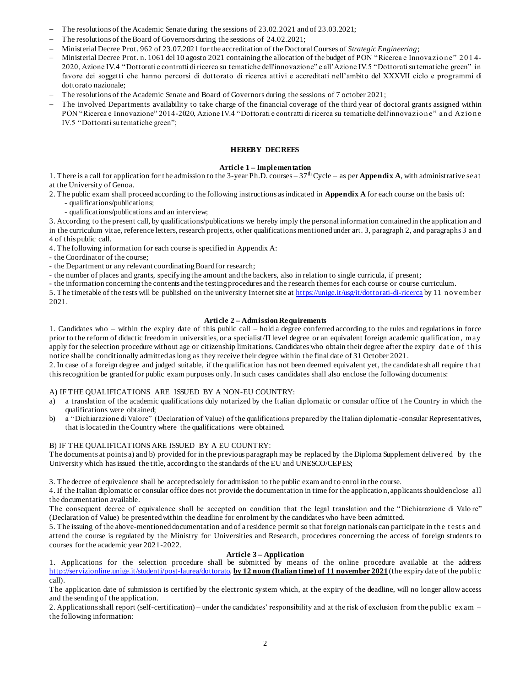- The resolutions of the Academic Senate during the sessions of 23.02.2021 and of 23.03.2021;
- The resolutions of the Board of Governors during the sessions of 24.02.2021;
- Ministerial Decree Prot. 962 of 23.07.2021 for the accreditation of the Doctoral Courses of *Strategic Engineering*;
- Ministerial Decree Prot. n. 1061 del 10 agosto 2021 containing the allocation of the budget of PON "Ricerca e Innovazione" 2014-2020, Azione IV.4 "Dottorati e contratti di ricerca su tematiche dell'innovazione" e all'Azione IV.5 "Dottorati su tematiche green" in favore dei soggetti che hanno percorsi di dottorato di ricerca attivi e accreditati nell'ambito del XXXVII ciclo e programmi di dottorato nazionale;
- The resolutions of the Academic Senate and Board of Governors during the sessions of 7 october 2021;
- The involved Departments availability to take charge of the financial coverage of the third year of doctoral grants assigned within PON "Ricerca e Innovazione" 2014-2020, Azione IV.4 "Dottorati e contratti di ricerca su tematiche dell'innovazione" and Azione IV.5 "Dottorati su tematiche green";

# **HEREBY DECREES**

#### **Article 1 – Implementation**

1. There is a call for application for the admission to the 3-year Ph.D. courses  $-37<sup>th</sup>$  Cycle – as per **Appendix A**, with administrative seat at the University of Genoa.

2. The public exam shall proceed according to the following instructions as indicated in **Appendix A** for each course on the basis of:

- qualifications/publications;
- qualifications/publications and an interview;

3. According to the present call, by qualifications/publications we hereby imply the personal information contained in the application an d in the curriculum vitae, reference letters, research projects, other qualifications mentioned under art. 3, paragraph 2, and paragraphs 3 an d 4 of this public call.

4. The following information for each course is specified in Appendix A:

- the Coordinator of the course;
- the Department or any relevant coordinating Board for research;

- the number of places and grants, specifying the amount and the backers, also in relation to single curricula, if present;

- the information concerning the contents and the testing procedures and the research themes for each course or course curriculum.

5. The timetable of the tests will be published on the university Internet site at <https://unige.it/usg/it/dottorati-di-ricerca> by 11 n ovember 2021.

# **Article 2 – Admission Requirements**

1. Candidates who – within the expiry date of this public call – hold a degree conferred according to the rules and regulations in force prior to the reform of didactic freedom in universities, or a specialist/II level degree or an equivalent foreign academic qualification , m ay apply for the selection procedure without age or citizenship limitations. Candidates who obtain their degree after the expiry date of this notice shall be conditionally admitted as long as they receive their degree within the final date of 31 October 2021.

2. In case of a foreign degree and judged suitable, if the qualification has not been deemed equivalent yet, the candidate sh all require t h at this recognition be granted for public exam purposes only. In such cases candidates shall also enclose the following documents:

# A) IF THE QUALIFICATIONS ARE ISSUED BY A NON-EU COUNTRY:

- a) a translation of the academic qualifications duly notarized by the Italian diplomatic or consular office of t he Country in which the qualifications were obtained;
- b) a "Dichiarazione di Valore" (Declaration of Value) of the qualifications prepared by the Italian diplomatic -consular Representatives, that is located in the Country where the qualifications were obtained.

# B) IF THE QUALIFICATIONS ARE ISSUED BY A EU COUNTRY:

The documents at points a) and b) provided for in the previous paragraph may be replaced by the Diploma Supplement delivered by t h e University which has issued the title, according to the standards of the EU and UNESCO/CEPES;

3. The decree of equivalence shall be accepted solely for admission to the public exam and to enrol in the course.

4. If the Italian diplomatic or consular office does not provide the documentation in time for the applicatio n, applicants should enclose all the documentation available.

The consequent decree of equivalence shall be accepted on condition that the legal translation and the "Dichiarazione di Valo re" (Declaration of Value) be presented within the deadline for enrolment by the candidates who have been admitted.

5. The issuing of the above-mentioned documentation and of a residence permit so that foreign nationals can participate in the tests and attend the course is regulated by the Ministry for Universities and Research, procedures concerning the access of foreign students to courses for the academic year 2021-2022.

# **Article 3 – Application**

1. Applications for the selection procedure shall be submitted by means of the online procedure available at the address <http://servizionline.unige.it/studenti/post-laurea/dottorato>, **by 12 noon (Italian time) of 11 november 2021** (the expiry date of the public call).

The application date of submission is certified by the electronic system which, at the expiry of the deadline, will no longer allow access and the sending of the application.

2. Applications shall report (self-certification) – under the candidates' responsibility and at the risk of exclusion from the public ex am – the following information: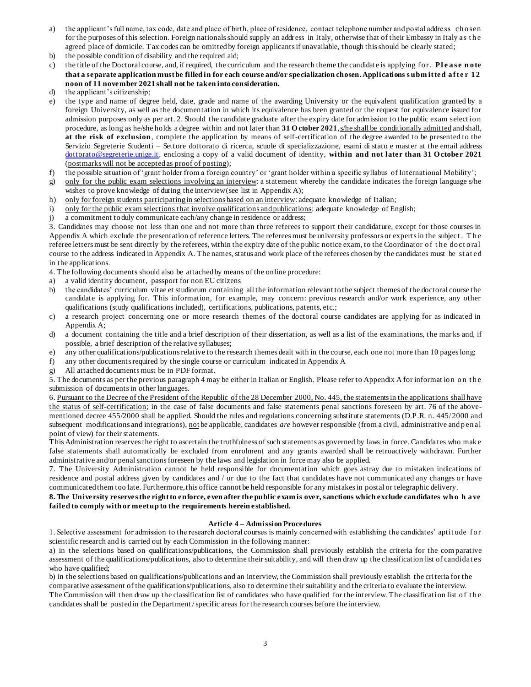- a) the applicant's full name, tax code, date and place of birth, place of residence, contact telephone number and postal address chosen for the purposes of this selection. Foreign nationals should supply an address in Italy, otherwise that of their Embassy in Italy as t h e agreed place of domicile. Tax codes can be omitted by foreign applicants if unavailable, though this should be clearly stated;
- b) the possible condition of disability and the required aid;
- c) the title of the Doctoral course, and, if required, the curriculum and the research theme the candidate is applying for. **Please note** that a separate application must be filled in for each course and/or specialization chosen. Applications submitted after 12 **noon of 11 november 2021 shall not be taken into consideration.**
- d) the applicant's citizenship;
- e) the type and name of degree held, date, grade and name of the awarding University or the equivalent qualification granted by a foreign University, as well as the documentation in which its equivalence has been granted or the request for equivalence issued for admission purposes only as per art. 2. Should the candidate graduate after the expiry date for admission to the public exam selection procedure, as long as he/she holds a degree within and not later than 31 O ctober 2021, s/he shall be conditionally admitted and shall, **at the risk of exclusion**, complete the application by means of self-certification of the degree awarded to be presented to the Servizio Segreterie Studenti – Settore dottorato di ricerca, scuole di specializzazione, esami di stato e master at the email address [dottorato@segreterie.unige.it](mailto:dottorato@segreterie.unige.it), enclosing a copy of a valid document of identity, **within and not later than 31 O ctober 2021** (postmarks will not be accepted as proof of posting);
- f) the possible situation of 'grant holder from a foreign country' or 'grant holder within a specific syllabus of International Mobility';
- g) only for the public exam selections involving an interview: a statement whereby the candidate indicates the foreign language s/he wishes to prove knowledge of during the interview (see list in Appendix A);
- h) only for foreign students participating in selections based on an interview: adequate knowledge of Italian;
- i) only for the public exam selections that involve qualifications and publications: adequate knowledge of English;
- j) a commitment to duly communicate each/any change in residence or address;

3. Candidates may choose not less than one and not more than three referees to support their candidature, except for those courses in Appendix A which exclude the presentation of reference letters. The referees must be university professors or experts in the subject . T h e referee letters must be sent directly by the referees, within the expiry date of the public notice exam, to the Coordinator of the doctoral course to the address indicated in Appendix A. The names, status and work place of the referees chosen by the candidates must be st at ed in the applications.

- 4. The following documents should also be attached by means of the online procedure:
- a) a valid identity document, passport for non EU citizens
- b) the candidates' curriculum vitae et studiorum containing all the information relevant to the subject themes of the doctoral course the candidate is applying for. This information, for example, may concern: previous research and/or work experience, any other qualifications (study qualifications included), certifications, publications, patents, etc.;
- c) a research project concerning one or more research themes of the doctoral course candidates are applying for as indicated in Appendix A;
- d) a document containing the title and a brief description of their dissertation, as well as a list of the examinations, the mar ks and, if possible, a brief description of the relative syllabuses;
- e) any other qualifications/publications relative to the research themes dealt with in the course, each one not more than 10 pages long;
- f) any other documents required by the single course or curriculum indicated in Appendix A
- g) All attached documents must be in PDF format.

5. The documents as per the previous paragraph 4 may be either in Italian or English. Please refer to Appendix A for informat io n o n t h e submission of documents in other languages.

6. Pursuant to the Decree of the President of the Republic of the 28 December 2000, No. 445, the statements in the applications shall have the status of self-certification; in the case of false documents and false statements penal sanctions foreseen by art. 76 of the abovementioned decree 455/2000 shall be applied. Should the rules and regulations concerning substitute statements (D.P.R. n. 445/2000 and subsequent modifications and integrations), not be applicable, candidates *are* however responsible (from a civil, administrative and p en al point of view) for their statements.

This Administration reserves the right to ascertain the truthfulness of such statements as governed by laws in force. Candida tes who mak e false statements shall automatically be excluded from enrolment and any grants awarded shall be retroactively withdrawn. Further administrative and/or penal sanctions foreseen by the laws and legislation in force may also be applied.

7. The University Administration cannot be held responsible for documentation which goes astray due to mistaken indications of residence and postal address given by candidates and / or due to the fact that candidates have not communicated any changes o r have communicated them too late. Furthermore, this office cannot be held responsible for any mistakes in postal or telegraphic delivery.

# **8. The University reserves the right to enforce, even after the public exam is over, sanctions which exclude candidates wh o h a ve failed to comply with or meet up to the requirements herein established.**

# **Article 4 – Admission Procedures**

1. Selective assessment for admission to the research doctoral courses is mainly concerned with establishing the candidates' aptit ude fo r scientific research and is carried out by each Commission in the following manner:

a) in the selections based on qualifications/publications, the Commission shall previously establish the criteria for the com parative assessment of the qualifications/publications, also to determine their suitability, and will then draw up the classification list of candidates who have qualified;

b) in the selections based on qualifications/publications and an interview, the Commission shall previously establish the criteria for the comparative assessment of the qualifications/publications, also to determine their suitability and the criteria to evaluate the interview. The Commission will then draw up the classification list of candidates who have qualified for the interview. The classification list of the candidates shall be posted in the Department / specific areas for the research courses before the interview.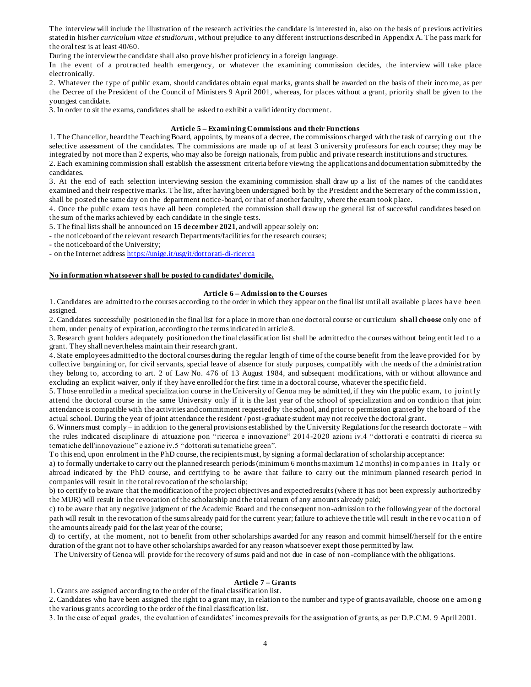The interview will include the illustration of the research activities the candidate is interested in, also on the basis of p revious activities stated in his/her *curriculum vitae et studiorum*, without prejudice to any different instructions described in Appendix A. The pass mark for the oral test is at least 40/60.

During the interview the candidate shall also prove his/her proficiency in a foreign language.

In the event of a protracted health emergency, or whatever the examining commission decides, the interview will take place electronically.

2. Whatever the type of public exam, should candidates obtain equal marks, grants shall be awarded on the basis of their inco me, as per the Decree of the President of the Council of Ministers 9 April 2001, whereas, for places without a grant, priority shall be given to the youngest candidate.

3. In order to sit the exams, candidates shall be asked to exhibit a valid identity documen t.

# **Article 5 – Examining Commissions and their Functions**

1. The Chancellor, heard the Teaching Board, appoints, by means of a decree, the commissions charged with the task of carrying out the selective assessment of the candidates. The commissions are made up of at least 3 university professors for each course; they may be integrated by not more than 2 experts, who may also be foreign nationals, from public and private research institutions and structures.

2. Each examining commission shall establish the assessment criteria before viewing the applications and documentation submitted by the candidates.

3. At the end of each selection interviewing session the examining commission shall draw up a list of the names of the candidates examined and their respective marks. The list, after having been undersigned both by the President and the Secretary of the commission, shall be posted the same day on the department notice-board, or that of another faculty, where the exam took place.

4. Once the public exam tests have all been completed, the commission shall draw up the general list of successful candidates based on the sum of the marks achieved by each candidate in the single tests.

5. The final lists shall be announced on **15 december 2021**, and will appear solely on:

- the noticeboard of the relevant research Departments/facilities for the research courses;

- the noticeboard of the University;

- on the Internet addres[s https://unige.it/usg/it/dottorati-di-ricerca](https://unige.it/usg/it/dottorati-di-ricerca)

#### **No information whatsoever shall be posted to candidates' domicile.**

#### **Article 6 – Admission to the Courses**

1. Candidates are admitted to the courses according to the order in which they appear on the final list until all available p laces h av e been assigned.

2. Candidates successfully positioned in the final list for a place in more than one doctoral course or curriculum **shall choose** only one o f them, under penalty of expiration, according to the terms indicated in article 8.

3. Research grant holders adequately positioned on the final classification list shall be admitted to the courses without being entit led t o a grant. They shall nevertheless maintain their research grant.

4. State employees admitted to the doctoral courses during the regular length of time of the course benefit from the leave provided fo r by collective bargaining or, for civil servants, special leave of absence for study purposes, compatibly with the needs of the a dministration they belong to, according to art. 2 of Law No. 476 of 13 August 1984, and subsequent modifications, with or without allowance and excluding an explicit waiver, only if they have enrolled for the first time in a doctoral course, whatever the specific field.

5. Those enrolled in a medical specialization course in the University of Genoa may be admitted, if they win the public exam, to jointly attend the doctoral course in the same University only if it is the last year of the school of specialization and on conditio n that joint attendance is compatible with the activities and commitment requested by the school, and prior to permission granted by the board o f t h e actual school. During the year of joint attendance the resident / post-graduate student may not receive the doctoral grant.

6. Winners must comply – in addition to the general provisions established by the University Regulations for the research doctorate – with the rules indicated disciplinare di attuazione pon "ricerca e innovazione" 2014-2020 azioni iv.4 "dottorati e contratti di ricerca su tematiche dell'innovazione" e azione iv.5 "dottorati su tematiche green".

To this end, upon enrolment in the PhD course, the recipients must, by signing a formal declaration of scholarship acceptance:

a) to formally undertake to carry out the planned research periods (minimum 6 months maximum 12 months) in companies in It aly or abroad indicated by the PhD course, and certifying to be aware that failure to carry out the minimum planned research period in companies will result in the total revocation of the scholarship;

b) to certify to be aware that the modification of the project objectives and expected results (where it has not been expressly authorized by the MUR) will result in the revocation of the scholarship and the total return of any amounts already paid;

c) to be aware that any negative judgment of the Academic Board and the consequent non -admission to the following year of the doctoral path will result in the revocation of the sums already paid for the current year; failure to achieve the title will result in the revocation of the amounts already paid for the last year of the course;

d) to certify, at the moment, not to benefit from other scholarships awarded for any reason and commit himself/herself for th e entire duration of the grant not to have other scholarships awarded for any reason whatsoever exept those permitted by law.

The University of Genoa will provide for the recovery of sums paid and not due in case of non -compliance with the obligations.

# **Article 7 – Grants**

1. Grants are assigned according to the order of the final classification list.

2. Candidates who have been assigned the right to a grant may, in relation to the number and type of grants available, choose one among the various grants according to the order of the final classification list.

3. In the case of equal grades, the evaluation of candidates' incomes prevails for the assignation of grants, as per D.P.C.M. 9 April 2001*.*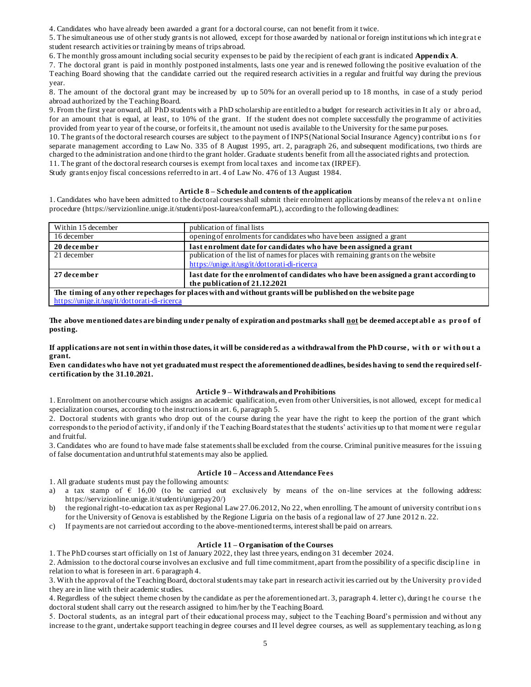4. Candidates who have already been awarded a grant for a doctoral course, can not benefit from it twice.

5. The simultaneous use of other study grants is not allowed, except for those awarded by national or foreign institutions wh ich integrat e student research activities or training by means of trips abroad.

6. The monthly gross amount including social security expenses to be paid by the recipient of each grant is indicated **Appendix A**.

7. The doctoral grant is paid in monthly postponed instalments, lasts one year and is renewed following the positive evaluation of the Teaching Board showing that the candidate carried out the required research activities in a regular and fruitful way during the previous year.

8. The amount of the doctoral grant may be increased by up to 50% for an overall period up to 18 months, in case of a study period abroad authorized by the Teaching Board.

9. From the first year onward, all PhD students with a PhD scholarship are entitled to a budget for research activities in It aly or abroad, for an amount that is equal, at least, to 10% of the grant. If the student does not complete successfully the programme of activities provided from year to year of the course, or forfeits it, the amount not used is available to the University for the same pur poses.

10. The grants of the doctoral research courses are subject to the payment of INPS (National Social Insurance Agency) contribut io n s fo r separate management according to Law No. 335 of 8 August 1995, art. 2, paragraph 26, and subsequent modifications, two thirds are charged to the administration and one third to the grant holder. Graduate students benefit from all the associated rights and protection. 11. The grant of the doctoral research courses is exempt from local taxes and income tax (IRPEF).

Study grants enjoy fiscal concessions referred to in art. 4 of Law No. 476 of 13 August 1984.

# **Article 8 – Schedule and contents of the application**

1. Candidates who have been admitted to the doctoral courses shall submit their enrolment applications by means of the relevant online procedure (https://servizionline.unige.it/studenti/post-laurea/confermaPL), according to the following deadlines:

| Within 15 december                                                                                          | publication of final lists                                                            |
|-------------------------------------------------------------------------------------------------------------|---------------------------------------------------------------------------------------|
| 16 december                                                                                                 | opening of enrolments for candidates who have been assigned a grant                   |
| 20 december                                                                                                 | last enrolment date for candidates who have been assigned a grant                     |
| 21 december                                                                                                 | publication of the list of names for places with remaining grants on the website      |
|                                                                                                             | https://unige.it/usg/it/dottorati-di-ricerca                                          |
| 27 december                                                                                                 | last date for the enrolment of candidates who have been assigned a grant according to |
|                                                                                                             | the publication of 21.12.2021                                                         |
| The timing of any other repechages for places with and without grants will be published on the website page |                                                                                       |

https://unige.it/usg/it/dottorati-di-ric

The above mentioned dates are binding under penalty of expiration and postmarks shall not be deemed acceptable as proof of **posting.**

If applications are not sent in within those dates, it will be considered as a withdrawal from the PhD course, with or with out a **grant.** 

# **Even candidates who have not yet graduated must respect the aforementioned deadlines, besides having to send the required selfcertification by the 31.10.2021.**

# **Article 9 – Withdrawals and Prohibitions**

1. Enrolment on another course which assigns an academic qualification, even from other Universities, is not allowed, except for medical specialization courses, according to the instructions in art. 6, paragraph 5.

2. Doctoral students with grants who drop out of the course during the year have the right to keep the portion of the grant which corresponds to the period of activity, if and only if the Teaching Board states that the students' activities up to that mome nt were regular and fruitful.

3. Candidates who are found to have made false statements shall be excluded from the course. Criminal punitive measures for the issuin g of false documentation and untruthful statements may also be applied.

# **Article 10 – Access and Attendance Fees**

1. All graduate students must pay the following amounts:

- a) a tax stamp of  $\epsilon$  16,00 (to be carried out exclusively by means of the on-line services at the following address: <https://servizionline.unige.it/studenti/unigepay20/>)
- b) the regional right-to-education tax as per Regional Law  $27.06.2012$ , No 22, when enrolling. The amount of university contributions for the University of Genova is established by the Regione Liguria on the basis of a regional law of 27 June 2012 n. 22.
- c) If payments are not carried out according to the above-mentioned terms, interest shall be paid on arrears.

# **Article 11 – O rganisation of the Courses**

1. The PhD courses start officially on 1st of January 2022, they last three years, ending on 31 december 2024.

2. Admission to the doctoral course involves an exclusive and full time commitment, apart from the possibility of a specific discip lin e in relation to what is foreseen in art. 6 paragraph 4.

3. With the approval of the Teaching Board, doctoral students may take part in research activit ies carried out by the University p ro v ided they are in line with their academic studies.

4. Regardless of the subject theme chosen by the candidate as per the aforementioned art. 3, paragraph 4. letter c), during the course the doctoral student shall carry out the research assigned to him/her by the Teaching Board.

5. Doctoral students, as an integral part of their educational process may, subject to the Teaching Board's permission and without any increase to the grant, undertake support teaching in degree courses and II level degree courses, as well as supplementary teaching, as long